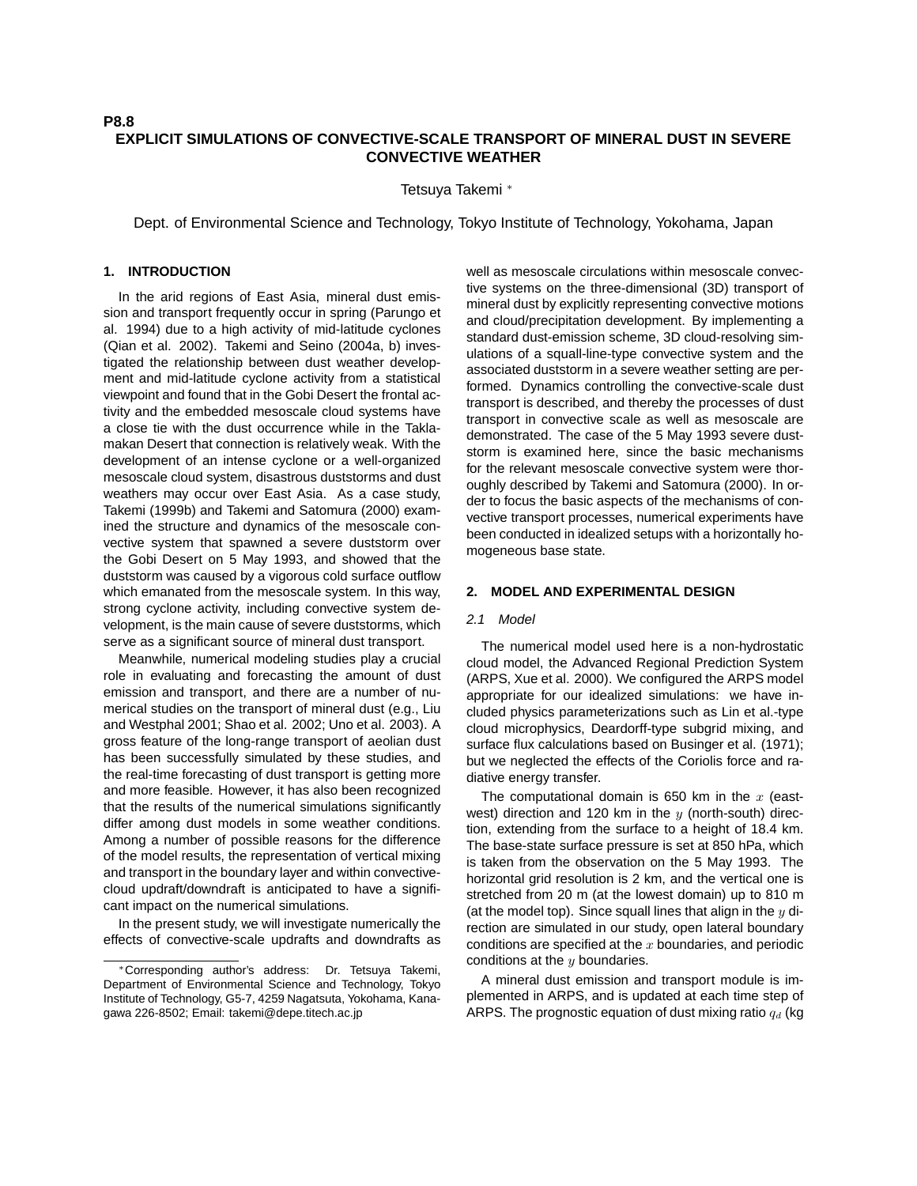# **EXPLICIT SIMULATIONS OF CONVECTIVE-SCALE TRANSPORT OF MINERAL DUST IN SEVERE CONVECTIVE WEATHER**

Tetsuya Takemi <sup>∗</sup>

Dept. of Environmental Science and Technology, Tokyo Institute of Technology, Yokohama, Japan

# **1. INTRODUCTION**

In the arid regions of East Asia, mineral dust emission and transport frequently occur in spring (Parungo et al. 1994) due to a high activity of mid-latitude cyclones (Qian et al. 2002). Takemi and Seino (2004a, b) investigated the relationship between dust weather development and mid-latitude cyclone activity from a statistical viewpoint and found that in the Gobi Desert the frontal activity and the embedded mesoscale cloud systems have a close tie with the dust occurrence while in the Taklamakan Desert that connection is relatively weak. With the development of an intense cyclone or a well-organized mesoscale cloud system, disastrous duststorms and dust weathers may occur over East Asia. As a case study, Takemi (1999b) and Takemi and Satomura (2000) examined the structure and dynamics of the mesoscale convective system that spawned a severe duststorm over the Gobi Desert on 5 May 1993, and showed that the duststorm was caused by a vigorous cold surface outflow which emanated from the mesoscale system. In this way, strong cyclone activity, including convective system development, is the main cause of severe duststorms, which serve as a significant source of mineral dust transport.

Meanwhile, numerical modeling studies play a crucial role in evaluating and forecasting the amount of dust emission and transport, and there are a number of numerical studies on the transport of mineral dust (e.g., Liu and Westphal 2001; Shao et al. 2002; Uno et al. 2003). A gross feature of the long-range transport of aeolian dust has been successfully simulated by these studies, and the real-time forecasting of dust transport is getting more and more feasible. However, it has also been recognized that the results of the numerical simulations significantly differ among dust models in some weather conditions. Among a number of possible reasons for the difference of the model results, the representation of vertical mixing and transport in the boundary layer and within convectivecloud updraft/downdraft is anticipated to have a significant impact on the numerical simulations.

In the present study, we will investigate numerically the effects of convective-scale updrafts and downdrafts as well as mesoscale circulations within mesoscale convective systems on the three-dimensional (3D) transport of mineral dust by explicitly representing convective motions and cloud/precipitation development. By implementing a standard dust-emission scheme, 3D cloud-resolving simulations of a squall-line-type convective system and the associated duststorm in a severe weather setting are performed. Dynamics controlling the convective-scale dust transport is described, and thereby the processes of dust transport in convective scale as well as mesoscale are demonstrated. The case of the 5 May 1993 severe duststorm is examined here, since the basic mechanisms for the relevant mesoscale convective system were thoroughly described by Takemi and Satomura (2000). In order to focus the basic aspects of the mechanisms of convective transport processes, numerical experiments have been conducted in idealized setups with a horizontally homogeneous base state.

## **2. MODEL AND EXPERIMENTAL DESIGN**

#### 2.1 Model

The numerical model used here is a non-hydrostatic cloud model, the Advanced Regional Prediction System (ARPS, Xue et al. 2000). We configured the ARPS model appropriate for our idealized simulations: we have included physics parameterizations such as Lin et al.-type cloud microphysics, Deardorff-type subgrid mixing, and surface flux calculations based on Businger et al. (1971); but we neglected the effects of the Coriolis force and radiative energy transfer.

The computational domain is 650 km in the  $x$  (eastwest) direction and 120 km in the  $y$  (north-south) direction, extending from the surface to a height of 18.4 km. The base-state surface pressure is set at 850 hPa, which is taken from the observation on the 5 May 1993. The horizontal grid resolution is 2 km, and the vertical one is stretched from 20 m (at the lowest domain) up to 810 m (at the model top). Since squall lines that align in the  $y$  direction are simulated in our study, open lateral boundary conditions are specified at the  $x$  boundaries, and periodic conditions at the  $y$  boundaries.

A mineral dust emission and transport module is implemented in ARPS, and is updated at each time step of ARPS. The prognostic equation of dust mixing ratio  $q_d$  (kg

<sup>∗</sup>Corresponding author's address: Dr. Tetsuya Takemi, Department of Environmental Science and Technology, Tokyo Institute of Technology, G5-7, 4259 Nagatsuta, Yokohama, Kanagawa 226-8502; Email: takemi@depe.titech.ac.jp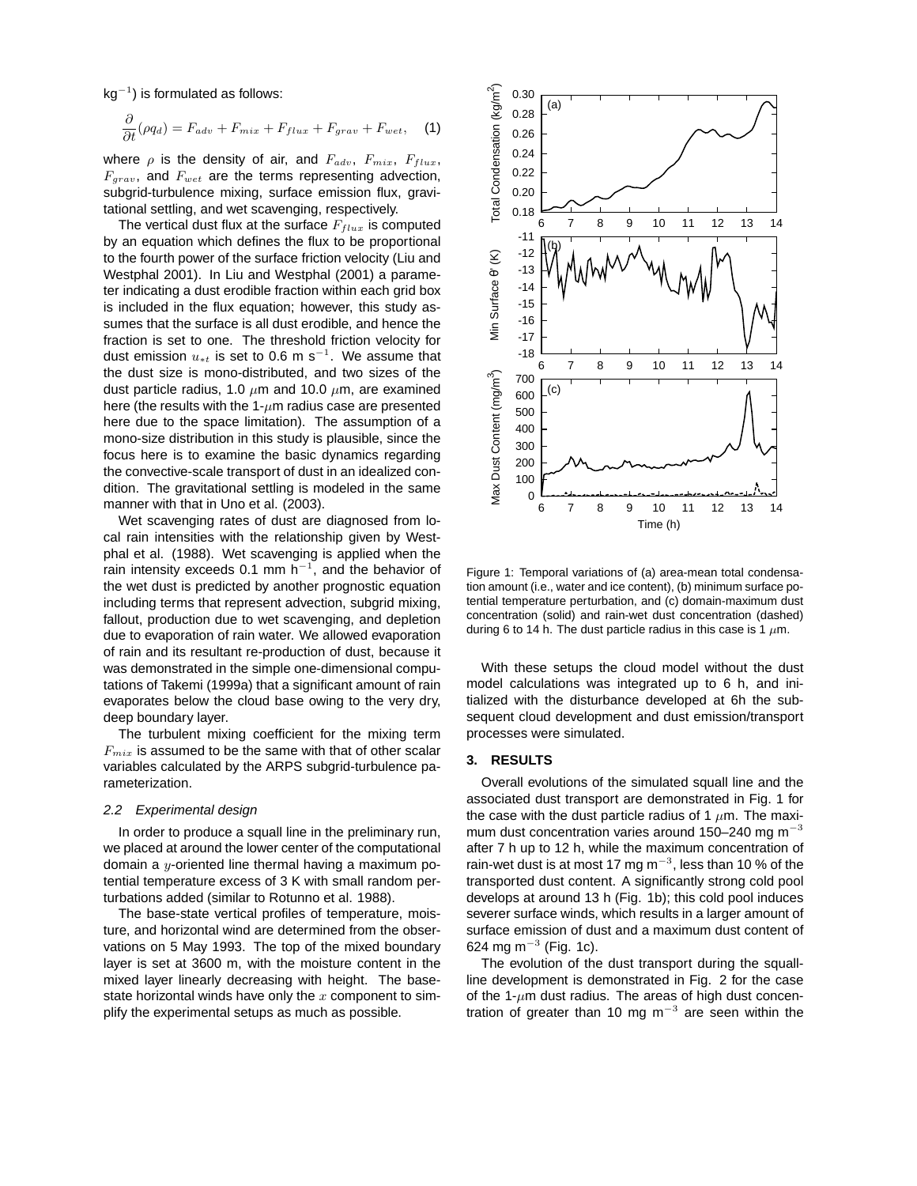$kg^{-1}$ ) is formulated as follows:

$$
\frac{\partial}{\partial t}(\rho q_d) = F_{adv} + F_{mix} + F_{flux} + F_{grav} + F_{wet}, \quad (1)
$$

where  $\rho$  is the density of air, and  $F_{adv}$ ,  $F_{mix}$ ,  $F_{flux}$ ,  $F_{grav}$ , and  $F_{wet}$  are the terms representing advection, subgrid-turbulence mixing, surface emission flux, gravitational settling, and wet scavenging, respectively.

The vertical dust flux at the surface  $F_{flux}$  is computed by an equation which defines the flux to be proportional to the fourth power of the surface friction velocity (Liu and Westphal 2001). In Liu and Westphal (2001) a parameter indicating a dust erodible fraction within each grid box is included in the flux equation; however, this study assumes that the surface is all dust erodible, and hence the fraction is set to one. The threshold friction velocity for dust emission  $u_{*t}$  is set to 0.6 m s<sup>-1</sup>. We assume that the dust size is mono-distributed, and two sizes of the dust particle radius, 1.0  $\mu$ m and 10.0  $\mu$ m, are examined here (the results with the 1- $\mu$ m radius case are presented here due to the space limitation). The assumption of a mono-size distribution in this study is plausible, since the focus here is to examine the basic dynamics regarding the convective-scale transport of dust in an idealized condition. The gravitational settling is modeled in the same manner with that in Uno et al. (2003).

Wet scavenging rates of dust are diagnosed from local rain intensities with the relationship given by Westphal et al. (1988). Wet scavenging is applied when the rain intensity exceeds 0.1 mm  $h^{-1}$ , and the behavior of the wet dust is predicted by another prognostic equation including terms that represent advection, subgrid mixing, fallout, production due to wet scavenging, and depletion due to evaporation of rain water. We allowed evaporation of rain and its resultant re-production of dust, because it was demonstrated in the simple one-dimensional computations of Takemi (1999a) that a significant amount of rain evaporates below the cloud base owing to the very dry, deep boundary layer.

The turbulent mixing coefficient for the mixing term  $F_{mix}$  is assumed to be the same with that of other scalar variables calculated by the ARPS subgrid-turbulence parameterization.

#### 2.2 Experimental design

In order to produce a squall line in the preliminary run, we placed at around the lower center of the computational domain a  $y$ -oriented line thermal having a maximum potential temperature excess of 3 K with small random perturbations added (similar to Rotunno et al. 1988).

The base-state vertical profiles of temperature, moisture, and horizontal wind are determined from the observations on 5 May 1993. The top of the mixed boundary layer is set at 3600 m, with the moisture content in the mixed layer linearly decreasing with height. The basestate horizontal winds have only the  $x$  component to simplify the experimental setups as much as possible.



Figure 1: Temporal variations of (a) area-mean total condensation amount (i.e., water and ice content), (b) minimum surface potential temperature perturbation, and (c) domain-maximum dust concentration (solid) and rain-wet dust concentration (dashed) during 6 to 14 h. The dust particle radius in this case is 1  $\mu$ m.

With these setups the cloud model without the dust model calculations was integrated up to 6 h, and initialized with the disturbance developed at 6h the subsequent cloud development and dust emission/transport processes were simulated.

## **3. RESULTS**

Overall evolutions of the simulated squall line and the associated dust transport are demonstrated in Fig. 1 for the case with the dust particle radius of 1  $\mu$ m. The maximum dust concentration varies around 150-240 mg m<sup>-3</sup> after 7 h up to 12 h, while the maximum concentration of rain-wet dust is at most 17 mg m<sup>-3</sup>, less than 10 % of the transported dust content. A significantly strong cold pool develops at around 13 h (Fig. 1b); this cold pool induces severer surface winds, which results in a larger amount of surface emission of dust and a maximum dust content of 624 mg m $^{-3}$  (Fig. 1c).

The evolution of the dust transport during the squallline development is demonstrated in Fig. 2 for the case of the 1- $\mu$ m dust radius. The areas of high dust concentration of greater than 10 mg  $m^{-3}$  are seen within the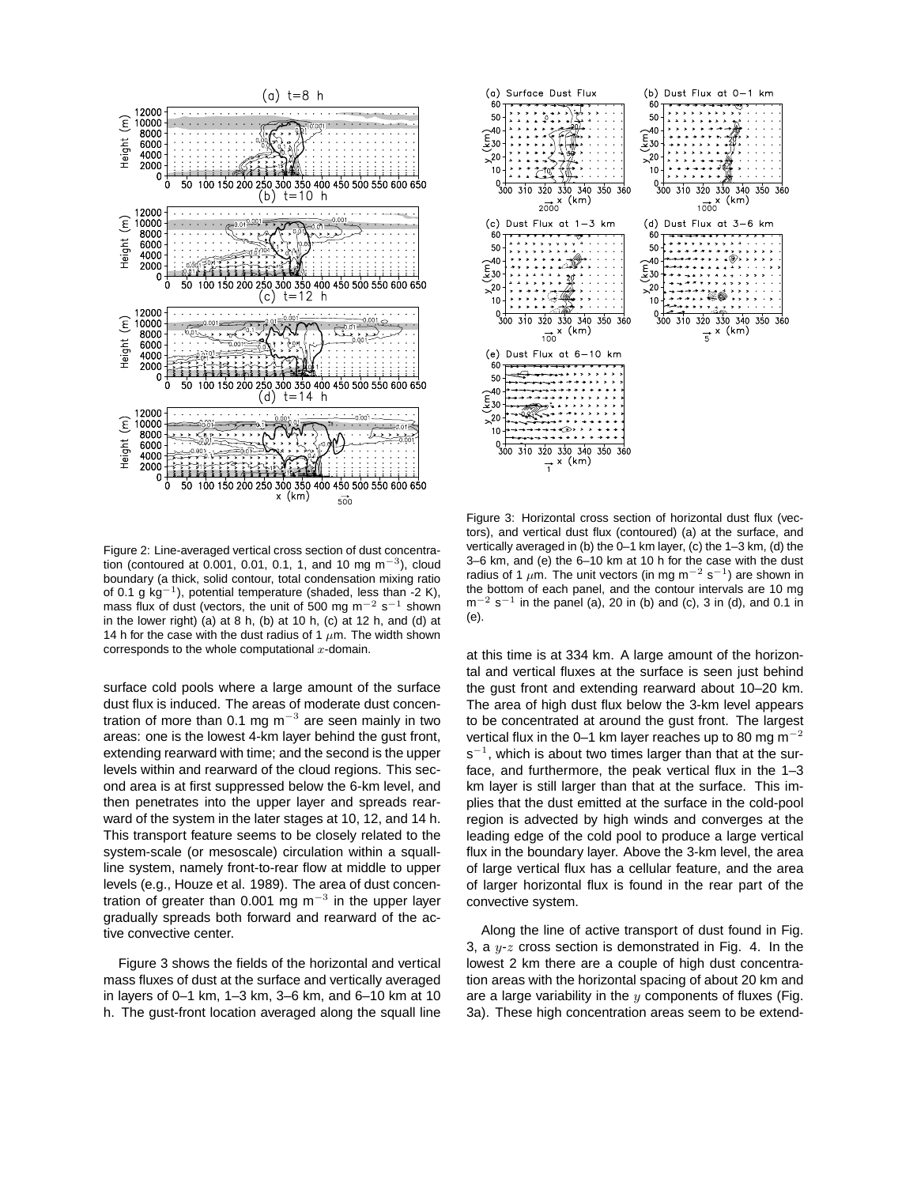

Figure 2: Line-averaged vertical cross section of dust concentration (contoured at 0.001, 0.01, 0.1, 1, and 10 mg m<sup>-3</sup>), cloud boundary (a thick, solid contour, total condensation mixing ratio of 0.1 g  $kg^{-1}$ ), potential temperature (shaded, less than -2 K), mass flux of dust (vectors, the unit of 500 mg m<sup>-2</sup> s<sup>-1</sup> shown in the lower right) (a) at 8 h, (b) at 10 h, (c) at 12 h, and (d) at 14 h for the case with the dust radius of 1  $\mu$ m. The width shown corresponds to the whole computational  $x$ -domain.

surface cold pools where a large amount of the surface dust flux is induced. The areas of moderate dust concentration of more than 0.1 mg m<sup>-3</sup> are seen mainly in two areas: one is the lowest 4-km layer behind the gust front, extending rearward with time; and the second is the upper levels within and rearward of the cloud regions. This second area is at first suppressed below the 6-km level, and then penetrates into the upper layer and spreads rearward of the system in the later stages at 10, 12, and 14 h. This transport feature seems to be closely related to the system-scale (or mesoscale) circulation within a squallline system, namely front-to-rear flow at middle to upper levels (e.g., Houze et al. 1989). The area of dust concentration of greater than 0.001 mg m<sup>-3</sup> in the upper layer gradually spreads both forward and rearward of the active convective center.

Figure 3 shows the fields of the horizontal and vertical mass fluxes of dust at the surface and vertically averaged in layers of 0–1 km, 1–3 km, 3–6 km, and 6–10 km at 10 h. The gust-front location averaged along the squall line



Figure 3: Horizontal cross section of horizontal dust flux (vectors), and vertical dust flux (contoured) (a) at the surface, and vertically averaged in (b) the 0–1 km layer, (c) the 1–3 km, (d) the 3–6 km, and (e) the 6–10 km at 10 h for the case with the dust radius of 1  $\mu$ m. The unit vectors (in mg m<sup>-2</sup> s<sup>-1</sup>) are shown in the bottom of each panel, and the contour intervals are 10 mg  $m^{-2}$  s<sup>-1</sup> in the panel (a), 20 in (b) and (c), 3 in (d), and 0.1 in (e).

at this time is at 334 km. A large amount of the horizontal and vertical fluxes at the surface is seen just behind the gust front and extending rearward about 10–20 km. The area of high dust flux below the 3-km level appears to be concentrated at around the gust front. The largest vertical flux in the 0–1 km layer reaches up to 80 mg  $\text{m}^{-2}$ s<sup>-1</sup>, which is about two times larger than that at the surface, and furthermore, the peak vertical flux in the 1–3 km layer is still larger than that at the surface. This implies that the dust emitted at the surface in the cold-pool region is advected by high winds and converges at the leading edge of the cold pool to produce a large vertical flux in the boundary layer. Above the 3-km level, the area of large vertical flux has a cellular feature, and the area of larger horizontal flux is found in the rear part of the convective system.

Along the line of active transport of dust found in Fig. 3, a  $y-z$  cross section is demonstrated in Fig. 4. In the lowest 2 km there are a couple of high dust concentration areas with the horizontal spacing of about 20 km and are a large variability in the  $y$  components of fluxes (Fig. 3a). These high concentration areas seem to be extend-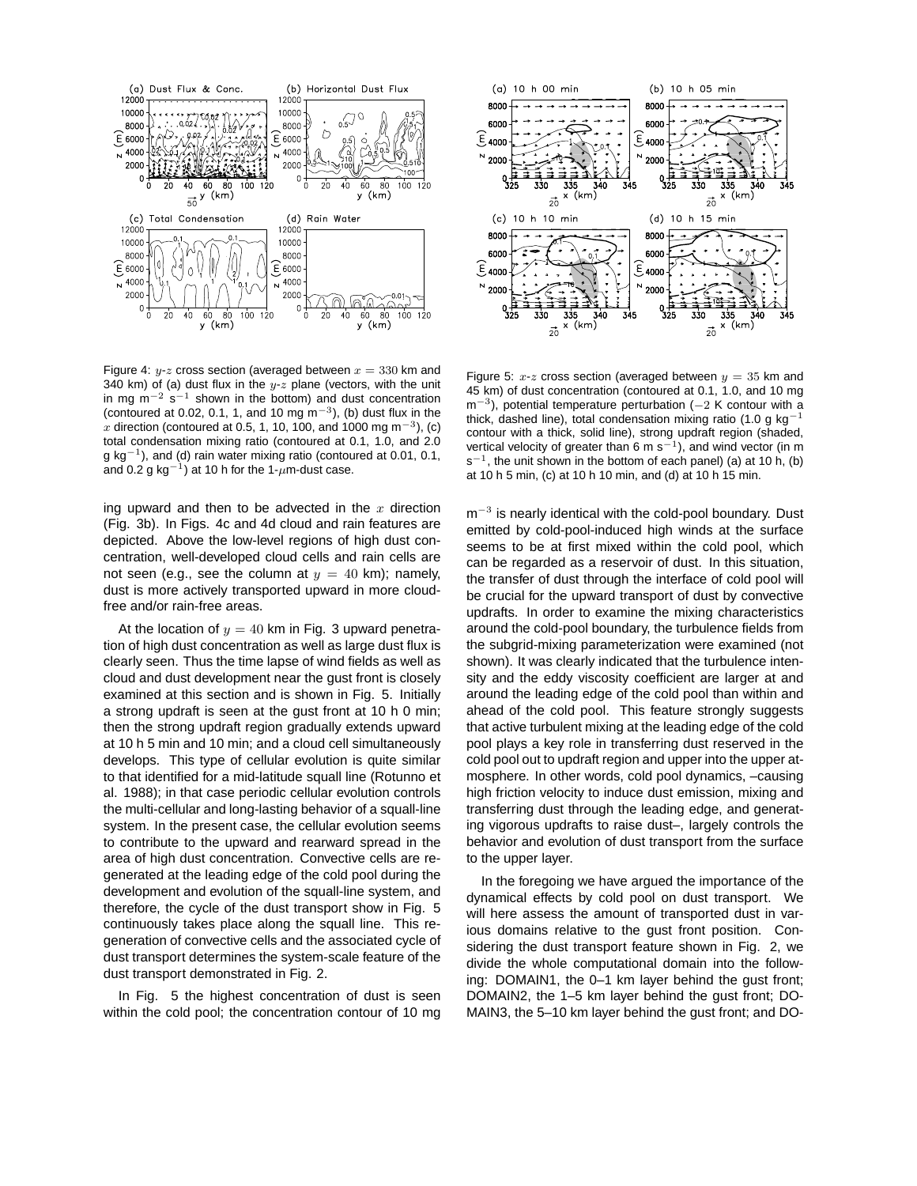

Figure 4:  $y-z$  cross section (averaged between  $x = 330$  km and 340 km) of (a) dust flux in the  $y-z$  plane (vectors, with the unit in mg m<sup>-2</sup> s<sup>-1</sup> shown in the bottom) and dust concentration (contoured at 0.02, 0.1, 1, and 10 mg m<sup>-3</sup>), (b) dust flux in the  $\stackrel{\cdot}{x}$  direction (contoured at 0.5, 1, 10, 100, and 1000 mg m $^{-3}$ ), (c) total condensation mixing ratio (contoured at 0.1, 1.0, and 2.0 g kg−<sup>1</sup> ), and (d) rain water mixing ratio (contoured at 0.01, 0.1, and 0.2 g kg $^{-1}$ ) at 10 h for the 1- $\mu$ m-dust case.

ing upward and then to be advected in the  $x$  direction (Fig. 3b). In Figs. 4c and 4d cloud and rain features are depicted. Above the low-level regions of high dust concentration, well-developed cloud cells and rain cells are not seen (e.g., see the column at  $y = 40$  km); namely, dust is more actively transported upward in more cloudfree and/or rain-free areas.

At the location of  $y = 40$  km in Fig. 3 upward penetration of high dust concentration as well as large dust flux is clearly seen. Thus the time lapse of wind fields as well as cloud and dust development near the gust front is closely examined at this section and is shown in Fig. 5. Initially a strong updraft is seen at the gust front at 10 h 0 min; then the strong updraft region gradually extends upward at 10 h 5 min and 10 min; and a cloud cell simultaneously develops. This type of cellular evolution is quite similar to that identified for a mid-latitude squall line (Rotunno et al. 1988); in that case periodic cellular evolution controls the multi-cellular and long-lasting behavior of a squall-line system. In the present case, the cellular evolution seems to contribute to the upward and rearward spread in the area of high dust concentration. Convective cells are regenerated at the leading edge of the cold pool during the development and evolution of the squall-line system, and therefore, the cycle of the dust transport show in Fig. 5 continuously takes place along the squall line. This regeneration of convective cells and the associated cycle of dust transport determines the system-scale feature of the dust transport demonstrated in Fig. 2.

In Fig. 5 the highest concentration of dust is seen within the cold pool; the concentration contour of 10 mg



Figure 5:  $x-z$  cross section (averaged between  $y = 35$  km and 45 km) of dust concentration (contoured at 0.1, 1.0, and 10 mg m<sup>-3</sup>), potential temperature perturbation (-2 K contour with a thick, dashed line), total condensation mixing ratio (1.0 g kg<sup>-1</sup> contour with a thick, solid line), strong updraft region (shaded, vertical velocity of greater than 6 m s<sup>-1</sup>), and wind vector (in m s<sup>-1</sup>, the unit shown in the bottom of each panel) (a) at 10 h, (b) at 10 h 5 min, (c) at 10 h 10 min, and (d) at 10 h 15 min.

 $m^{-3}$  is nearly identical with the cold-pool boundary. Dust emitted by cold-pool-induced high winds at the surface seems to be at first mixed within the cold pool, which can be regarded as a reservoir of dust. In this situation, the transfer of dust through the interface of cold pool will be crucial for the upward transport of dust by convective updrafts. In order to examine the mixing characteristics around the cold-pool boundary, the turbulence fields from the subgrid-mixing parameterization were examined (not shown). It was clearly indicated that the turbulence intensity and the eddy viscosity coefficient are larger at and around the leading edge of the cold pool than within and ahead of the cold pool. This feature strongly suggests that active turbulent mixing at the leading edge of the cold pool plays a key role in transferring dust reserved in the cold pool out to updraft region and upper into the upper atmosphere. In other words, cold pool dynamics, –causing high friction velocity to induce dust emission, mixing and transferring dust through the leading edge, and generating vigorous updrafts to raise dust–, largely controls the behavior and evolution of dust transport from the surface to the upper layer.

In the foregoing we have argued the importance of the dynamical effects by cold pool on dust transport. We will here assess the amount of transported dust in various domains relative to the gust front position. Considering the dust transport feature shown in Fig. 2, we divide the whole computational domain into the following: DOMAIN1, the 0–1 km layer behind the gust front; DOMAIN2, the 1–5 km layer behind the gust front; DO-MAIN3, the 5–10 km layer behind the gust front; and DO-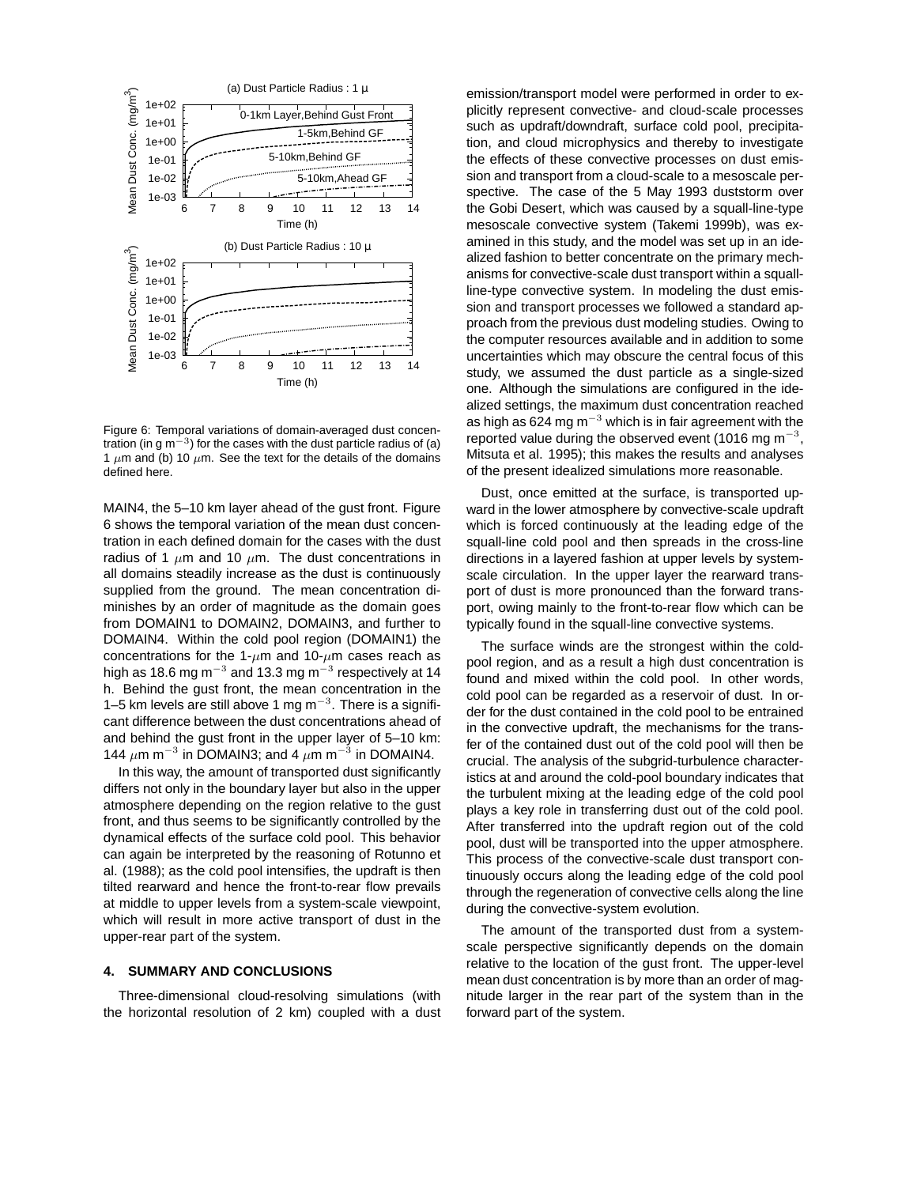

Figure 6: Temporal variations of domain-averaged dust concentration (in g m<sup>-3</sup>) for the cases with the dust particle radius of (a) 1  $\mu$ m and (b) 10  $\mu$ m. See the text for the details of the domains defined here.

MAIN4, the 5–10 km layer ahead of the gust front. Figure 6 shows the temporal variation of the mean dust concentration in each defined domain for the cases with the dust radius of 1  $\mu$ m and 10  $\mu$ m. The dust concentrations in all domains steadily increase as the dust is continuously supplied from the ground. The mean concentration diminishes by an order of magnitude as the domain goes from DOMAIN1 to DOMAIN2, DOMAIN3, and further to DOMAIN4. Within the cold pool region (DOMAIN1) the concentrations for the 1- $\mu$ m and 10- $\mu$ m cases reach as high as 18.6 mg m $^{-3}$  and 13.3 mg m $^{-3}$  respectively at 14 h. Behind the gust front, the mean concentration in the 1–5 km levels are still above 1 mg  $\text{m}^{-3}$ . There is a significant difference between the dust concentrations ahead of and behind the gust front in the upper layer of 5–10 km: 144  $\mu$ m m<sup>-3</sup> in DOMAIN3; and 4  $\mu$ m m<sup>-3</sup> in DOMAIN4.

In this way, the amount of transported dust significantly differs not only in the boundary layer but also in the upper atmosphere depending on the region relative to the gust front, and thus seems to be significantly controlled by the dynamical effects of the surface cold pool. This behavior can again be interpreted by the reasoning of Rotunno et al. (1988); as the cold pool intensifies, the updraft is then tilted rearward and hence the front-to-rear flow prevails at middle to upper levels from a system-scale viewpoint, which will result in more active transport of dust in the upper-rear part of the system.

### **4. SUMMARY AND CONCLUSIONS**

Three-dimensional cloud-resolving simulations (with the horizontal resolution of 2 km) coupled with a dust emission/transport model were performed in order to explicitly represent convective- and cloud-scale processes such as updraft/downdraft, surface cold pool, precipitation, and cloud microphysics and thereby to investigate the effects of these convective processes on dust emission and transport from a cloud-scale to a mesoscale perspective. The case of the 5 May 1993 duststorm over the Gobi Desert, which was caused by a squall-line-type mesoscale convective system (Takemi 1999b), was examined in this study, and the model was set up in an idealized fashion to better concentrate on the primary mechanisms for convective-scale dust transport within a squallline-type convective system. In modeling the dust emission and transport processes we followed a standard approach from the previous dust modeling studies. Owing to the computer resources available and in addition to some uncertainties which may obscure the central focus of this study, we assumed the dust particle as a single-sized one. Although the simulations are configured in the idealized settings, the maximum dust concentration reached as high as 624 mg m $^{-3}$  which is in fair agreement with the reported value during the observed event (1016 mg m<sup>-3</sup>, Mitsuta et al. 1995); this makes the results and analyses of the present idealized simulations more reasonable.

Dust, once emitted at the surface, is transported upward in the lower atmosphere by convective-scale updraft which is forced continuously at the leading edge of the squall-line cold pool and then spreads in the cross-line directions in a layered fashion at upper levels by systemscale circulation. In the upper layer the rearward transport of dust is more pronounced than the forward transport, owing mainly to the front-to-rear flow which can be typically found in the squall-line convective systems.

The surface winds are the strongest within the coldpool region, and as a result a high dust concentration is found and mixed within the cold pool. In other words, cold pool can be regarded as a reservoir of dust. In order for the dust contained in the cold pool to be entrained in the convective updraft, the mechanisms for the transfer of the contained dust out of the cold pool will then be crucial. The analysis of the subgrid-turbulence characteristics at and around the cold-pool boundary indicates that the turbulent mixing at the leading edge of the cold pool plays a key role in transferring dust out of the cold pool. After transferred into the updraft region out of the cold pool, dust will be transported into the upper atmosphere. This process of the convective-scale dust transport continuously occurs along the leading edge of the cold pool through the regeneration of convective cells along the line during the convective-system evolution.

The amount of the transported dust from a systemscale perspective significantly depends on the domain relative to the location of the gust front. The upper-level mean dust concentration is by more than an order of magnitude larger in the rear part of the system than in the forward part of the system.